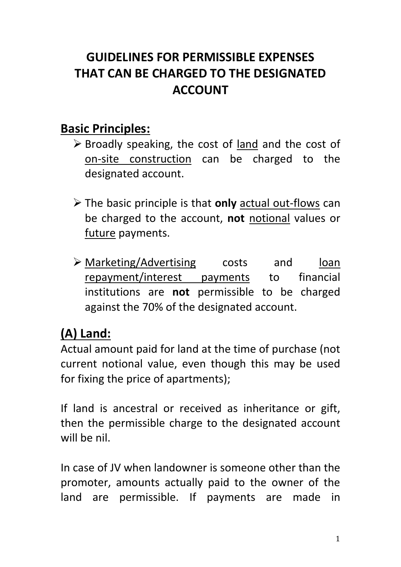# **GUIDELINES FOR PERMISSIBLE EXPENSES THAT CAN BE CHARGED TO THE DESIGNATED ACCOUNT**

#### **Basic Principles:**

- $\triangleright$  Broadly speaking, the cost of land and the cost of on-site construction can be charged to the designated account.
- The basic principle is that **only** actual out-flows can be charged to the account, **not** notional values or future payments.
- Marketing/Advertising costs and loan repayment/interest payments to financial institutions are **not** permissible to be charged against the 70% of the designated account.

# **(A) Land:**

Actual amount paid for land at the time of purchase (not current notional value, even though this may be used for fixing the price of apartments);

If land is ancestral or received as inheritance or gift, then the permissible charge to the designated account will be nil.

In case of JV when landowner is someone other than the promoter, amounts actually paid to the owner of the land are permissible. If payments are made in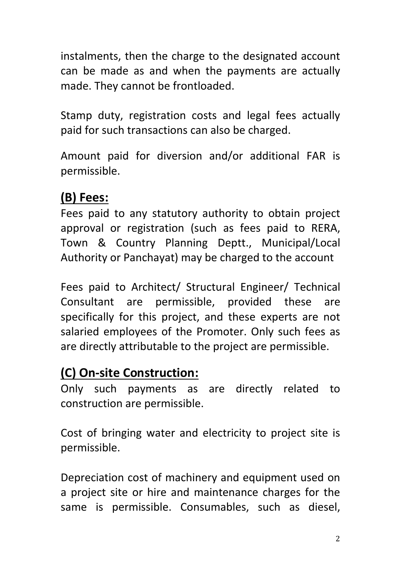instalments, then the charge to the designated account can be made as and when the payments are actually made. They cannot be frontloaded.

Stamp duty, registration costs and legal fees actually paid for such transactions can also be charged.

Amount paid for diversion and/or additional FAR is permissible.

### **(B) Fees:**

Fees paid to any statutory authority to obtain project approval or registration (such as fees paid to RERA, Town & Country Planning Deptt., Municipal/Local Authority or Panchayat) may be charged to the account

Fees paid to Architect/ Structural Engineer/ Technical Consultant are permissible, provided these are specifically for this project, and these experts are not salaried employees of the Promoter. Only such fees as are directly attributable to the project are permissible.

# **(C) On-site Construction:**

Only such payments as are directly related to construction are permissible.

Cost of bringing water and electricity to project site is permissible.

Depreciation cost of machinery and equipment used on a project site or hire and maintenance charges for the same is permissible. Consumables, such as diesel,